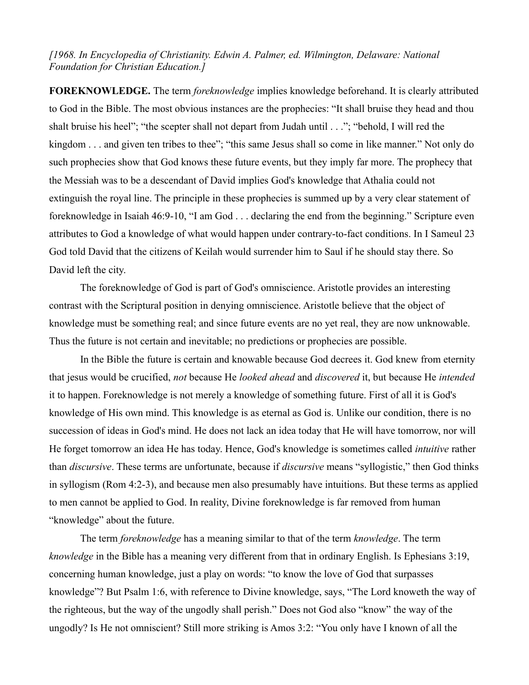*[1968. In Encyclopedia of Christianity. Edwin A. Palmer, ed. Wilmington, Delaware: National Foundation for Christian Education.]*

**FOREKNOWLEDGE.** The term *foreknowledge* implies knowledge beforehand. It is clearly attributed to God in the Bible. The most obvious instances are the prophecies: "It shall bruise they head and thou shalt bruise his heel"; "the scepter shall not depart from Judah until . . ."; "behold, I will red the kingdom . . . and given ten tribes to thee"; "this same Jesus shall so come in like manner." Not only do such prophecies show that God knows these future events, but they imply far more. The prophecy that the Messiah was to be a descendant of David implies God's knowledge that Athalia could not extinguish the royal line. The principle in these prophecies is summed up by a very clear statement of foreknowledge in Isaiah 46:9-10, "I am God . . . declaring the end from the beginning." Scripture even attributes to God a knowledge of what would happen under contrary-to-fact conditions. In I Sameul 23 God told David that the citizens of Keilah would surrender him to Saul if he should stay there. So David left the city.

The foreknowledge of God is part of God's omniscience. Aristotle provides an interesting contrast with the Scriptural position in denying omniscience. Aristotle believe that the object of knowledge must be something real; and since future events are no yet real, they are now unknowable. Thus the future is not certain and inevitable; no predictions or prophecies are possible.

In the Bible the future is certain and knowable because God decrees it. God knew from eternity that jesus would be crucified, *not* because He *looked ahead* and *discovered* it, but because He *intended* it to happen. Foreknowledge is not merely a knowledge of something future. First of all it is God's knowledge of His own mind. This knowledge is as eternal as God is. Unlike our condition, there is no succession of ideas in God's mind. He does not lack an idea today that He will have tomorrow, nor will He forget tomorrow an idea He has today. Hence, God's knowledge is sometimes called *intuitive* rather than *discursive*. These terms are unfortunate, because if *discursive* means "syllogistic," then God thinks in syllogism (Rom 4:2-3), and because men also presumably have intuitions. But these terms as applied to men cannot be applied to God. In reality, Divine foreknowledge is far removed from human "knowledge" about the future.

The term *foreknowledge* has a meaning similar to that of the term *knowledge*. The term *knowledge* in the Bible has a meaning very different from that in ordinary English. Is Ephesians 3:19, concerning human knowledge, just a play on words: "to know the love of God that surpasses knowledge"? But Psalm 1:6, with reference to Divine knowledge, says, "The Lord knoweth the way of the righteous, but the way of the ungodly shall perish." Does not God also "know" the way of the ungodly? Is He not omniscient? Still more striking is Amos 3:2: "You only have I known of all the